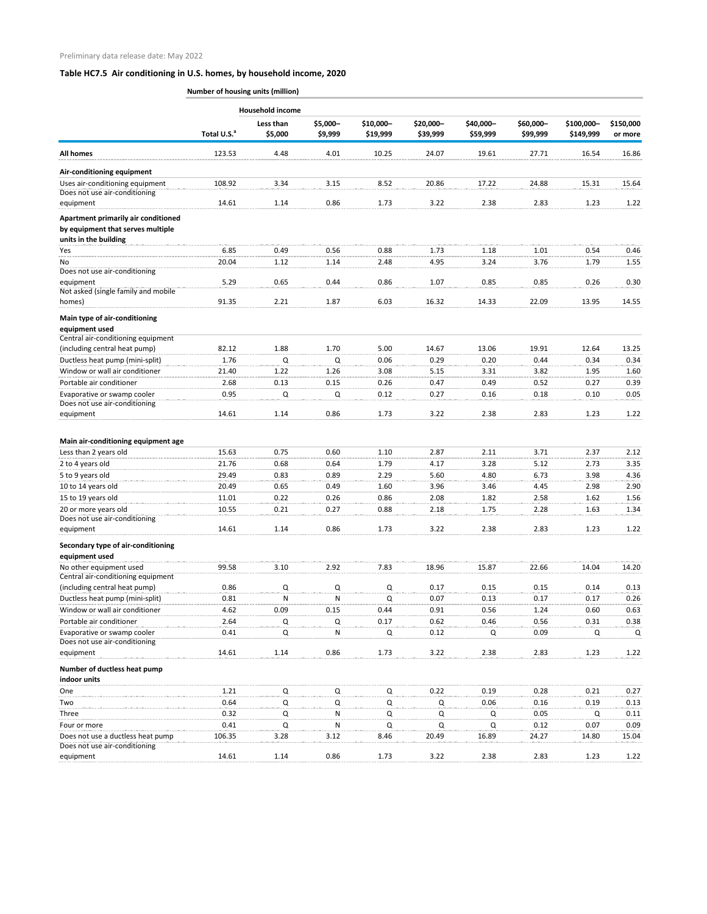|                                                      | <b>Household income</b> |           |          |           |           |           |           |            |           |
|------------------------------------------------------|-------------------------|-----------|----------|-----------|-----------|-----------|-----------|------------|-----------|
|                                                      |                         | Less than | \$5,000- | \$10,000- | \$20,000- | \$40,000- | \$60,000- | \$100,000- | \$150,000 |
|                                                      | Total U.S. <sup>a</sup> | \$5,000   | \$9,999  | \$19,999  | \$39,999  | \$59,999  | \$99,999  | \$149,999  | or more   |
| All homes                                            | 123.53                  | 4.48      | 4.01     | 10.25     | 24.07     | 19.61     | 27.71     | 16.54      | 16.86     |
| Air-conditioning equipment                           |                         |           |          |           |           |           |           |            |           |
| Uses air-conditioning equipment                      | 108.92                  | 3.34      | 3.15     | 8.52      | 20.86     | 17.22     | 24.88     | 15.31      | 15.64     |
| Does not use air-conditioning<br>equipment           | 14.61                   | 1.14      | 0.86     | 1.73      | 3.22      | 2.38      | 2.83      | 1.23       | 1.22      |
| Apartment primarily air conditioned                  |                         |           |          |           |           |           |           |            |           |
| by equipment that serves multiple                    |                         |           |          |           |           |           |           |            |           |
| units in the building                                |                         |           |          |           |           |           |           |            |           |
| Yes                                                  | 6.85                    | 0.49      | 0.56     | 0.88      | 1.73      | 1.18      | 1.01      | 0.54       | 0.46      |
| No                                                   | 20.04                   | 1.12      | 1.14     | 2.48      | 4.95      | 3.24      | 3.76      | 1.79       | 1.55      |
| Does not use air-conditioning                        |                         |           |          |           |           |           |           |            |           |
| equipment                                            | 5.29                    | 0.65      | 0.44     | 0.86      | 1.07      | 0.85      | 0.85      | 0.26       | 0.30      |
| Not asked (single family and mobile                  | 91.35                   |           |          | 6.03      |           |           |           |            |           |
| homes)                                               |                         | 2.21      | 1.87     |           | 16.32     | 14.33     | 22.09     | 13.95      | 14.55     |
| Main type of air-conditioning<br>equipment used      |                         |           |          |           |           |           |           |            |           |
| Central air-conditioning equipment                   |                         |           |          |           |           |           |           |            |           |
| (including central heat pump)                        | 82.12                   | 1.88      | 1.70     | 5.00      | 14.67     | 13.06     | 19.91     | 12.64      | 13.25     |
| Ductless heat pump (mini-split)                      | 1.76                    | Q         | Q        | 0.06      | 0.29      | 0.20      | 0.44      | 0.34       | 0.34      |
| Window or wall air conditioner                       | 21.40                   | 1.22      | 1.26     | 3.08      | 5.15      | 3.31      | 3.82      | 1.95       | 1.60      |
| Portable air conditioner                             | 2.68                    | 0.13      | 0.15     | 0.26      | 0.47      | 0.49      | 0.52      | 0.27       | 0.39      |
| Evaporative or swamp cooler                          | 0.95                    | Q         | Q        | 0.12      | 0.27      | 0.16      | 0.18      | 0.10       | 0.05      |
| Does not use air-conditioning                        |                         |           |          |           |           |           |           |            |           |
| equipment                                            | 14.61                   | 1.14      | 0.86     | 1.73      | 3.22      | 2.38      | 2.83      | 1.23       | 1.22      |
|                                                      |                         |           |          |           |           |           |           |            |           |
| Main air-conditioning equipment age                  |                         |           |          |           |           |           |           |            |           |
| Less than 2 years old                                | 15.63                   | 0.75      | 0.60     | 1.10      | 2.87      | 2.11      | 3.71      | 2.37       | 2.12      |
| 2 to 4 years old                                     | 21.76                   | 0.68      | 0.64     | 1.79      | 4.17      | 3.28      | 5.12      | 2.73       | 3.35      |
| 5 to 9 years old                                     | 29.49                   | 0.83      | 0.89     | 2.29      | 5.60      | 4.80      | 6.73      | 3.98       | 4.36      |
| 10 to 14 years old                                   | 20.49                   | 0.65      | 0.49     | 1.60      | 3.96      | 3.46      | 4.45      | 2.98       | 2.90      |
| 15 to 19 years old                                   | 11.01                   | 0.22      | 0.26     | 0.86      | 2.08      | 1.82      | 2.58      | 1.62       | 1.56      |
| 20 or more years old                                 | 10.55                   | 0.21      | 0.27     | 0.88      | 2.18      | 1.75      | 2.28      | 1.63       | 1.34      |
| Does not use air-conditioning<br>equipment           | 14.61                   | 1.14      | 0.86     | 1.73      | 3.22      | 2.38      | 2.83      | 1.23       | 1.22      |
|                                                      |                         |           |          |           |           |           |           |            |           |
| Secondary type of air-conditioning<br>equipment used |                         |           |          |           |           |           |           |            |           |
| No other equipment used                              | 99.58                   | 3.10      | 2.92     | 7.83      | 18.96     | 15.87     | 22.66     | 14.04      | 14.20     |
| Central air-conditioning equipment                   |                         |           |          |           |           |           |           |            |           |
| (including central heat pump)                        | 0.86                    | Q         | Q        | Q         | 0.17      | 0.15      | 0.15      | 0.14       | 0.13      |
| Ductless heat pump (mini-split)                      | 0.81                    | N         | N        | Q         | 0.07      | 0.13      | 0.17      | 0.17       | 0.26      |
| Window or wall air conditioner                       | 4.62                    | 0.09      | 0.15     | 0.44      | 0.91      | 0.56      | 1.24      | 0.60       | 0.63      |
| Portable air conditioner                             | 2.64                    | Q         | Q        | 0.17      | 0.62      | 0.46      | 0.56      | 0.31       | 0.38      |
| Evaporative or swamp cooler                          | 0.41                    | Q         | N        | Q         | 0.12      | Q         | 0.09      | Q          | Q         |
| Does not use air-conditioning                        |                         |           |          |           |           |           |           |            |           |
| equipment                                            | 14.61                   | 1.14      | 0.86     | 1.73      | 3.22      | 2.38      | 2.83      | 1.23       | 1.22      |
| Number of ductless heat pump                         |                         |           |          |           |           |           |           |            |           |
| indoor units                                         |                         |           |          |           |           |           |           |            |           |
| One                                                  | 1.21                    | O         | 0        | Q         | 0.22      | 0.19      | 0.28      | 0.21       | 0.27      |
| Two                                                  | 0.64                    | Q         | Q        | Q         | Q         | 0.06      | 0.16      | 0.19       | 0.13      |
| Three                                                | 0.32                    | O         | N        | Q         | O         | Q         | 0.05      | Q          | 0.11      |

| Four or more                      | J.4"  |         |      |      |       |       | ◡.⊥∠  | 0.07        | 0.09    |
|-----------------------------------|-------|---------|------|------|-------|-------|-------|-------------|---------|
| Does not use a ductless heat pump | 10635 |         |      | 8.46 | 20.49 | 16.89 | 24.27 | 14.80       | 15.04   |
| Does not use air-conditioning     |       |         |      |      |       |       |       |             |         |
| equipment                         | 14.61 | 14<br>. | J.8F | .    | 3.ZZ  | 2.38  | 2.83  | <b>1.Z3</b> | <b></b> |

### **Number of housing units (million)**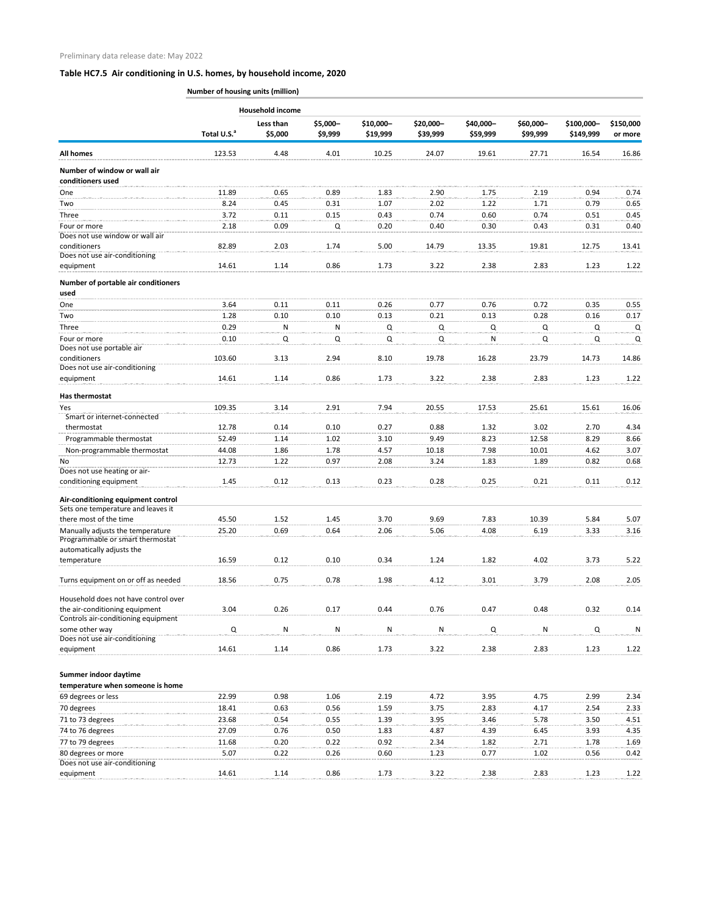### **Number of housing units (million)**

|                                                                          |                         | <b>Household income</b> |          |           |           |           |           |            |             |
|--------------------------------------------------------------------------|-------------------------|-------------------------|----------|-----------|-----------|-----------|-----------|------------|-------------|
|                                                                          |                         | Less than               | \$5,000- | \$10,000- | \$20,000- | \$40,000- | \$60,000- | \$100,000- | \$150,000   |
|                                                                          | Total U.S. <sup>a</sup> | \$5,000                 | \$9,999  | \$19,999  | \$39,999  | \$59,999  | \$99,999  | \$149,999  | or more     |
| <b>All homes</b>                                                         | 123.53                  | 4.48                    | 4.01     | 10.25     | 24.07     | 19.61     | 27.71     | 16.54      | 16.86       |
| Number of window or wall air<br>conditioners used                        |                         |                         |          |           |           |           |           |            |             |
| One                                                                      | 11.89                   | 0.65                    | 0.89     | 1.83      | 2.90      | 1.75      | 2.19      | 0.94       | 0.74        |
| Two                                                                      | 8.24                    | 0.45                    | 0.31     | 1.07      | 2.02      | 1.22      | 1.71      | 0.79       | 0.65        |
| Three                                                                    | 3.72                    | 0.11                    | 0.15     | 0.43      | 0.74      | 0.60      | 0.74      | 0.51       | 0.45        |
| Four or more<br>Does not use window or wall air                          | 2.18                    | 0.09                    | Q        | 0.20      | 0.40      | 0.30      | 0.43      | 0.31       | 0.40        |
| conditioners                                                             | 82.89                   | 2.03                    | 1.74     | 5.00      | 14.79     | 13.35     | 19.81     | 12.75      | 13.41       |
| Does not use air-conditioning                                            |                         |                         |          |           |           |           |           |            |             |
| equipment                                                                | 14.61                   | 1.14                    | 0.86     | 1.73      | 3.22      | 2.38      | 2.83      | 1.23       | 1.22        |
| Number of portable air conditioners<br>used                              |                         |                         |          |           |           |           |           |            |             |
| One                                                                      | 3.64                    | 0.11                    | 0.11     | 0.26      | 0.77      | 0.76      | 0.72      | 0.35       | 0.55        |
| Two                                                                      | 1.28                    | 0.10                    | 0.10     | 0.13      | 0.21      | 0.13      | 0.28      | 0.16       | 0.17        |
| Three                                                                    | 0.29                    | N                       | N        | Q         | Q         | Q         | Q         | Q          | Q           |
| Four or more                                                             | 0.10                    | Q                       | Q        | Q         | Q         | N         | Q         | Q          | Q           |
| Does not use portable air<br>conditioners                                | 103.60                  | 3.13                    | 2.94     | 8.10      | 19.78     | 16.28     | 23.79     | 14.73      | 14.86       |
| Does not use air-conditioning<br>equipment                               | 14.61                   | 1.14                    | 0.86     | 1.73      | 3.22      | 2.38      | 2.83      | 1.23       | 1.22        |
|                                                                          |                         |                         |          |           |           |           |           |            |             |
| Has thermostat                                                           |                         |                         |          |           |           |           |           |            |             |
| Yes                                                                      | 109.35                  | 3.14                    | 2.91     | 7.94      | 20.55     | 17.53     | 25.61     | 15.61      | 16.06       |
| Smart or internet-connected<br>thermostat                                | 12.78                   | 0.14                    | 0.10     | 0.27      | 0.88      | 1.32      | 3.02      | 2.70       | 4.34        |
| Programmable thermostat                                                  | 52.49                   | 1.14                    | 1.02     | 3.10      | 9.49      | 8.23      | 12.58     | 8.29       | 8.66        |
| Non-programmable thermostat                                              | 44.08                   | 1.86                    | 1.78     | 4.57      | 10.18     | 7.98      | 10.01     | 4.62       | 3.07        |
| Νo                                                                       | 12.73                   | 1.22                    | 0.97     | 2.08      | 3.24      | 1.83      | 1.89      | 0.82       | <b>0.68</b> |
| Does not use heating or air-                                             |                         |                         |          |           |           |           |           |            |             |
| conditioning equipment                                                   | 1.45                    | 0.12                    | 0.13     | 0.23      | 0.28      | 0.25      | 0.21      | 0.11       | 0.12        |
| Air-conditioning equipment control<br>Sets one temperature and leaves it |                         |                         |          |           |           |           |           |            |             |
| there most of the time                                                   | 45.50                   | 1.52                    | 1.45     | 3.70      | 9.69      | 7.83      | 10.39     | 5.84       | 5.07        |
| Manually adjusts the temperature                                         | 25.20                   | 0.69                    | 0.64     | 2.06      | 5.06      | 4.08      | 6.19      | 3.33       | 3.16        |
| Programmable or smart thermostat                                         |                         |                         |          |           |           |           |           |            |             |
| automatically adjusts the                                                |                         |                         |          |           |           |           |           |            |             |
| temperature                                                              | 16.59                   | 0.12                    | 0.10     | 0.34      | 1.24      | 1.82      | 4.02      | 3.73       | 5.22        |
| Turns equipment on or off as needed                                      | 18.56                   | 0.75                    | 0.78     | 1.98      | 4.12      | 3.01      | 3.79      | 2.08       | 2.05        |
| Household does not have control over                                     |                         |                         |          |           |           |           |           |            |             |
| the air-conditioning equipment<br>Controls air-conditioning equipment    | 3.04                    | 0.26                    | 0.17     | 0.44      | 0.76      | 0.47      | 0.48      | 0.32       | 0.14        |
| some other way<br>Does not use air-conditioning                          | Q                       | ${\sf N}$               | N        | N         | N         | Q         | ${\sf N}$ | Q          | ${\sf N}$   |
| equipment                                                                | 14.61                   | 1.14                    | 0.86     | 1.73      | 3.22      | 2.38      | 2.83      | 1.23       | 1.22        |
| Summer indoor daytime                                                    |                         |                         |          |           |           |           |           |            |             |
| temperature when someone is home                                         |                         |                         |          |           |           |           |           |            |             |
| 69 degrees or less                                                       | 22.99                   | 0.98                    | 1.06     | 2.19      | 4.72      | 3.95      | 4.75      | 2.99       | 2.34        |
| 70 degrees                                                               | 18.41                   | 0.63                    | 0.56     | 1.59      | 3.75      | 2.83      | 4.17      | 2.54       | 2.33        |

| 71 to 73 degrees              | 23.68 | 0.54 | 0.55 | 4.39 | 3.95 | 3.46 | 5.78 | 3.50 | 4.51 |
|-------------------------------|-------|------|------|------|------|------|------|------|------|
| 74 to 76 degrees              | 27.09 | 0.76 | 0.50 | 1.83 | 4.87 | 4.39 | 6.45 | 3.93 | 4.35 |
| 77 to 79 degrees              | 11.68 | 0.20 | 0.22 | 0.92 | 2.34 | 1.82 | 2.71 | 1.78 | 1.69 |
| 80 degrees or more            | 5.07  | 0.22 | 0.26 | 0.60 | 1.23 | 0.77 | 1.02 | 0.56 | 0.42 |
| Does not use air-conditioning |       |      |      |      |      |      |      |      |      |
| equipment                     | 14.61 | 1.14 | 0.86 | 1.73 | 3.22 | 2.38 | 2.83 | 1.23 | 1.22 |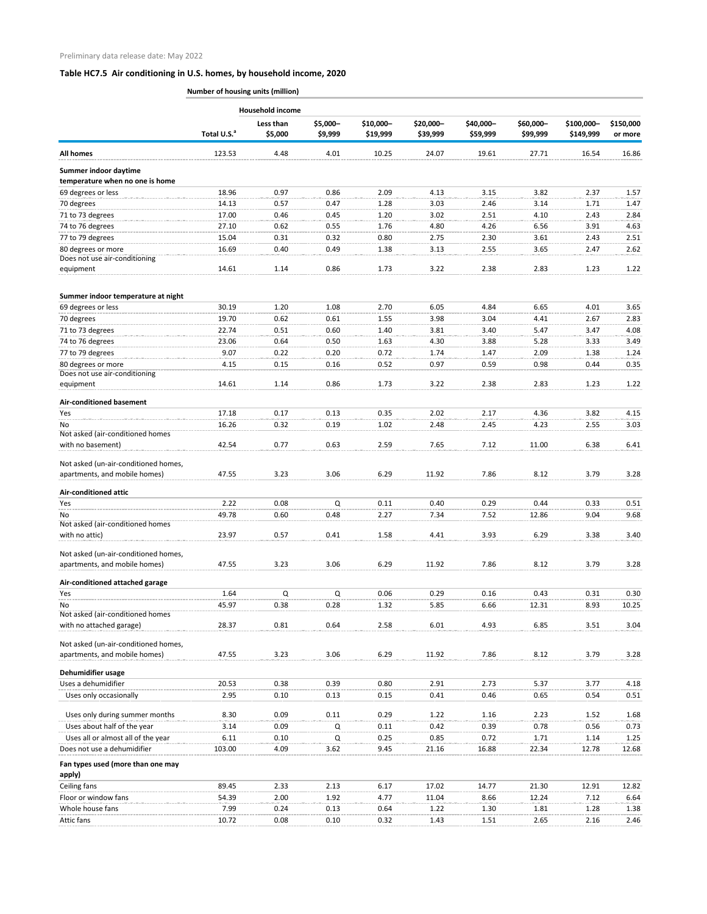**Number of housing units (million)**

|                                                                       |                         | <b>Household income</b> |                     |                       |                       |                       |                       |                         |                      |
|-----------------------------------------------------------------------|-------------------------|-------------------------|---------------------|-----------------------|-----------------------|-----------------------|-----------------------|-------------------------|----------------------|
|                                                                       | Total U.S. <sup>a</sup> | Less than<br>\$5,000    | \$5,000-<br>\$9,999 | \$10,000-<br>\$19,999 | \$20,000-<br>\$39,999 | \$40,000-<br>\$59,999 | \$60,000-<br>\$99,999 | \$100,000-<br>\$149,999 | \$150,000<br>or more |
| <b>All homes</b>                                                      | 123.53                  | 4.48                    | 4.01                | 10.25                 | 24.07                 | 19.61                 | 27.71                 | 16.54                   | 16.86                |
| Summer indoor daytime                                                 |                         |                         |                     |                       |                       |                       |                       |                         |                      |
| temperature when no one is home                                       |                         |                         |                     |                       |                       |                       |                       |                         |                      |
| 69 degrees or less                                                    | 18.96                   | 0.97                    | 0.86                | 2.09                  | 4.13                  | 3.15                  | 3.82                  | 2.37                    | 1.57                 |
| 70 degrees                                                            | 14.13                   | 0.57                    | 0.47                | 1.28                  | 3.03                  | 2.46                  | 3.14                  | 1.71                    | 1.47                 |
| 71 to 73 degrees                                                      | 17.00                   | 0.46                    | 0.45                | 1.20                  | 3.02                  | 2.51                  | 4.10                  | 2.43                    | 2.84                 |
| 74 to 76 degrees                                                      | 27.10                   | 0.62                    | 0.55                | 1.76                  | 4.80                  | 4.26                  | 6.56                  | 3.91                    | 4.63                 |
| 77 to 79 degrees                                                      | 15.04                   | 0.31                    | 0.32                | 0.80                  | 2.75                  | 2.30                  | 3.61                  | 2.43                    | 2.51                 |
| 80 degrees or more<br>Does not use air-conditioning                   | 16.69                   | 0.40                    | 0.49                | 1.38                  | 3.13                  | 2.55                  | 3.65                  | 2.47                    | 2.62                 |
| equipment                                                             | 14.61                   | 1.14                    | 0.86                | 1.73                  | 3.22                  | 2.38                  | 2.83                  | 1.23                    | 1.22                 |
| Summer indoor temperature at night                                    |                         |                         |                     |                       |                       |                       |                       |                         |                      |
| 69 degrees or less                                                    | 30.19                   | 1.20                    | 1.08                | 2.70                  | 6.05                  | 4.84                  | 6.65                  | 4.01                    | 3.65                 |
| 70 degrees                                                            | 19.70                   | 0.62                    | 0.61                | 1.55                  | 3.98                  | 3.04                  | 4.41                  | 2.67                    | 2.83                 |
| 71 to 73 degrees                                                      | 22.74                   | 0.51                    | 0.60                | 1.40                  | 3.81                  | 3.40                  | 5.47                  | 3.47                    | 4.08                 |
| 74 to 76 degrees                                                      | 23.06                   | 0.64                    | 0.50                | 1.63                  | 4.30                  | 3.88                  | 5.28                  | 3.33                    | 3.49                 |
| 77 to 79 degrees                                                      | 9.07                    | 0.22                    | 0.20                | 0.72                  | 1.74                  | 1.47                  | 2.09                  | 1.38                    | 1.24                 |
| 80 degrees or more                                                    | 4.15                    | 0.15                    | 0.16                | 0.52                  | 0.97                  | 0.59                  | 0.98                  | 0.44                    | 0.35                 |
| Does not use air-conditioning                                         |                         |                         |                     |                       |                       |                       |                       |                         |                      |
| equipment                                                             | 14.61                   | 1.14                    | 0.86                | 1.73                  | 3.22                  | 2.38                  | 2.83                  | 1.23                    | 1.22                 |
| Air-conditioned basement                                              |                         |                         |                     |                       |                       |                       |                       |                         |                      |
| Yes                                                                   | 17.18                   | 0.17                    | 0.13                | 0.35                  | 2.02                  | 2.17                  | 4.36                  | 3.82                    | 4.15                 |
| No.<br>Not asked (air-conditioned homes                               | 16.26                   | 0.32                    | 0.19                | 1.02                  | 2.48                  | 2.45                  | 4.23                  | 2.55                    | 3.03                 |
| with no basement)                                                     | 42.54                   | 0.77                    | 0.63                | 2.59                  | 7.65                  | 7.12                  | 11.00                 | 6.38                    | 6.41                 |
| Not asked (un-air-conditioned homes,<br>apartments, and mobile homes) | 47.55                   | 3.23                    | 3.06                | 6.29                  | 11.92                 | 7.86                  | 8.12                  | 3.79                    | 3.28                 |
| <b>Air-conditioned attic</b>                                          |                         |                         |                     |                       |                       |                       |                       |                         |                      |
| Yes                                                                   | 2.22                    | 0.08                    | Q                   | 0.11                  | 0.40                  | 0.29                  | 0.44                  | 0.33                    | 0.51                 |
| No.                                                                   | 49.78                   | 0.60                    | 0.48                | 2.27                  | 7.34                  | 7.52                  | 12.86                 | 9.04                    | 9.68                 |
| Not asked (air-conditioned homes                                      |                         |                         |                     |                       |                       |                       |                       |                         |                      |
| with no attic)                                                        | 23.97                   | 0.57                    | 0.41                | 1.58                  | 4.41                  | 3.93                  | 6.29                  | 3.38                    | 3.40                 |
| Not asked (un-air-conditioned homes,<br>apartments, and mobile homes) | 47.55                   | 3.23                    | 3.06                | 6.29                  | 11.92                 | 7.86                  | 8.12                  | 3.79                    | 3.28                 |
| Air-conditioned attached garage                                       |                         |                         |                     |                       |                       |                       |                       |                         |                      |
| Yes                                                                   | 1.64                    | Q                       | Q                   | 0.06                  | 0.29                  | 0.16                  | 0.43                  | 0.31                    | 0.30                 |
| No.                                                                   | 45.97                   | 0.38                    | 0.28                | 1.32                  | 5.85                  | 6.66                  | 12.31                 | 8.93                    | 10.25                |
| Not asked (air-conditioned homes                                      |                         |                         |                     |                       |                       |                       |                       |                         |                      |
| with no attached garage)                                              | 28.37                   | 0.81                    | 0.64                | 2.58                  | 6.01                  | 4.93                  | 6.85                  | 3.51                    | 3.04                 |
| Not asked (un-air-conditioned homes,                                  |                         |                         |                     |                       |                       |                       |                       |                         |                      |
| apartments, and mobile homes)                                         | 47.55                   | 3.23                    | 3.06                | 6.29                  | 11.92                 | 7.86                  | 8.12                  | 3.79                    | 3.28                 |
| Dehumidifier usage                                                    |                         |                         |                     |                       |                       |                       |                       |                         |                      |
| Uses a dehumidifier                                                   | 20.53                   | 0.38                    | 0.39                | 0.80                  | 2.91                  | 2.73                  | 5.37                  | 3.77                    | 4.18                 |
| Uses only occasionally                                                | 2.95                    | 0.10                    | 0.13                | 0.15                  | 0.41                  | 0.46                  | 0.65                  | 0.54                    | 0.51                 |
| Uses only during summer months                                        | 8.30                    | 0.09                    | 0.11                | 0.29                  | 1.22                  | 1.16                  | 2.23                  | 1.52                    | 1.68                 |
| Uses about half of the year                                           | 3.14                    | 0.09                    | Q                   | 0.11                  | 0.42                  | 0.39                  | 0.78                  | 0.56                    | 0.73                 |
| Uses all or almost all of the year                                    | 6.11                    | 0.10                    | Q                   | 0.25                  | 0.85                  | 0.72                  | 1.71                  | 1.14                    | 1.25                 |
| Does not use a dehumidifier                                           | 103.00                  | 4.09                    | 3.62                | 9.45                  | 21.16                 | 16.88                 | 22.34                 | 12.78                   | 12.68                |
| Fan types used (more than one may                                     |                         |                         |                     |                       |                       |                       |                       |                         |                      |
| apply)                                                                |                         |                         |                     |                       |                       |                       |                       |                         |                      |
| Ceiling fans                                                          | 89.45                   | 2.33                    | 2.13                | 6.17                  | 17.02                 | 14.77                 | 21.30                 | 12.91                   | 12.82                |
| Floor or window fans<br>Whole house fans                              | 54.39<br>7.99           | 2.00<br>0.24            | 1.92<br>0.13        | 4.77<br>0.64          | 11.04<br>1.22         | 8.66<br>1.30          | 12.24                 | 7.12<br>1.28            | 6.64<br>1.38         |
| Attic fans                                                            | 10.72                   | 0.08                    | 0.10                | 0.32                  | 1.43                  | 1.51                  | 1.81<br>2.65          | 2.16                    | 2.46                 |
|                                                                       |                         |                         |                     |                       |                       |                       |                       |                         |                      |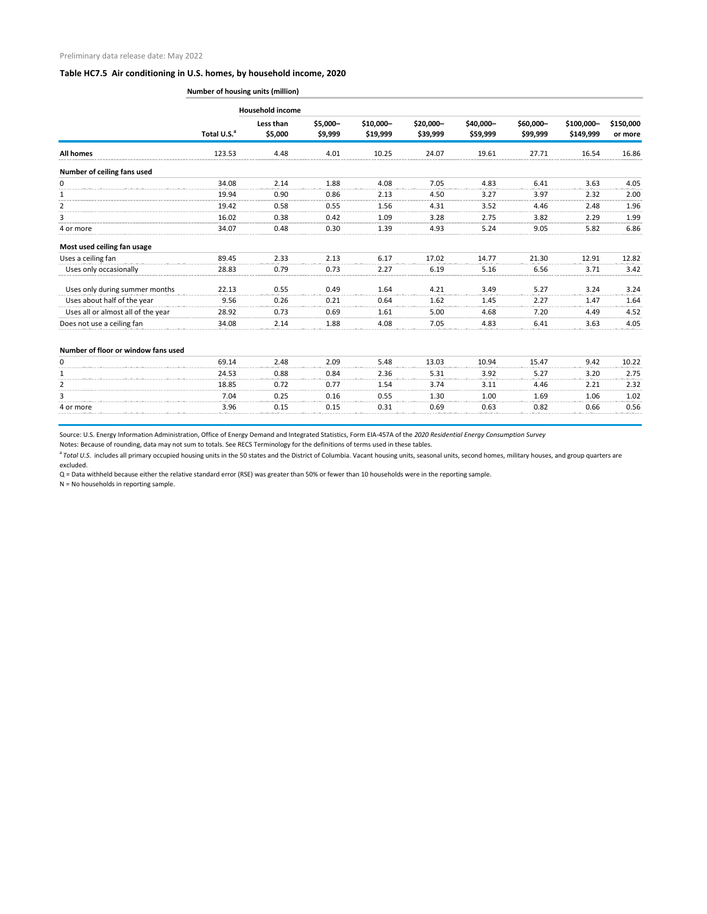| <b>Number of housing units (million)</b> |  |  |  |  |
|------------------------------------------|--|--|--|--|
|------------------------------------------|--|--|--|--|

|                                     |                         | <b>Household income</b> |                     |                       |                       |                       |                       |                         |                      |
|-------------------------------------|-------------------------|-------------------------|---------------------|-----------------------|-----------------------|-----------------------|-----------------------|-------------------------|----------------------|
|                                     | Total U.S. <sup>a</sup> | Less than<br>\$5,000    | \$5,000-<br>\$9,999 | \$10,000-<br>\$19,999 | \$20,000-<br>\$39,999 | \$40,000-<br>\$59,999 | \$60,000-<br>\$99,999 | \$100,000-<br>\$149,999 | \$150,000<br>or more |
| All homes                           | 123.53                  | 4.48                    | 4.01                | 10.25                 | 24.07                 | 19.61                 | 27.71                 | 16.54                   | 16.86                |
| Number of ceiling fans used         |                         |                         |                     |                       |                       |                       |                       |                         |                      |
| 0                                   | 34.08                   | 2.14                    | 1.88                | 4.08                  | 7.05                  | 4.83                  | 6.41                  | 3.63                    | 4.05                 |
|                                     | 19.94                   | 0.90                    | 0.86                | 2.13                  | 4.50                  | 3.27                  | 3.97                  | 2.32                    | 2.00                 |
| $\overline{2}$                      | 19.42                   | 0.58                    | 0.55                | 1.56                  | 4.31                  | 3.52                  | 4.46                  | 2.48                    | 1.96                 |
|                                     | 16.02                   | 0.38                    | 0.42                | 1.09                  | 3.28                  | 2.75                  | 3.82                  | 2.29                    | 1.99                 |
| 4 or more                           | 34.07                   | 0.48                    | 0.30                | 1.39                  | 4.93                  | 5.24                  | 9.05                  | 5.82                    | 6.86                 |
| Most used ceiling fan usage         |                         |                         |                     |                       |                       |                       |                       |                         |                      |
| Uses a ceiling fan                  | 89.45                   | 2.33                    | 2.13                | 6.17                  | 17.02                 | 14.77                 | 21.30                 | 12.91                   | 12.82                |
| Uses only occasionally              | 28.83                   | 0.79                    | 0.73                | 2.27                  | 6.19                  | 5.16                  | 6.56                  | 3.71                    | 3.42                 |
| Uses only during summer months      | 22.13                   | 0.55                    | 0.49                | 1.64                  | 4.21                  | 3.49                  | 5.27                  | 3.24                    | 3.24                 |
| Uses about half of the year         | 9.56                    | 0.26                    | 0.21                | 0.64                  | 1.62                  | 1.45                  | 2.27                  | 1.47                    | 1.64                 |
| Uses all or almost all of the year  | 28.92                   | 0.73                    | 0.69                | 1.61                  | 5.00                  | 4.68                  | 7.20                  | 4.49                    | 4.52                 |
| Does not use a ceiling fan          | 34.08                   | 2.14                    | 1.88                | 4.08                  | 7.05                  | 4.83                  | 6.41                  | 3.63                    | 4.05                 |
| Number of floor or window fans used |                         |                         |                     |                       |                       |                       |                       |                         |                      |
| 0                                   | 69.14                   | 2.48                    | 2.09                | 5.48                  | 13.03                 | 10.94                 | 15.47                 | 9.42                    | 10.22                |
|                                     | 24.53                   | 0.88                    | 0.84                | 2.36                  | 5.31                  | 3.92                  | 5.27                  | 3.20                    | 2.75                 |

<sup>a</sup> Total U.S. includes all primary occupied housing units in the 50 states and the District of Columbia. Vacant housing units, seasonal units, second homes, military houses, and group quarters are excluded.

|           | 24.53 | 0.88        | 0.84 | 2.36 | 5.31 | 3.92   | ר ה<br>، ے ، ب | 3.20 | 2.75 |
|-----------|-------|-------------|------|------|------|--------|----------------|------|------|
|           | 18.85 | 0.72        | 0.1' | 1.54 | 2 74 |        | 4.46           | າ າາ | 2.32 |
|           | 7.04  | 125<br>◡.∠. | 0.16 | 0.55 | 1.30 | 1.00   | 1.69           | 1.06 | 1.02 |
| 4 or more | 3.96  | ◡.⊥         | 0.15 | 0.31 | 0.69 | -63. ل | 0.82           | 0.66 | 0.56 |
|           |       |             |      |      |      |        |                |      |      |

Source: U.S. Energy Information Administration, Office of Energy Demand and Integrated Statistics, Form EIA-457A of the *2020 Residential Energy Consumption Survey*

Notes: Because of rounding, data may not sum to totals. See RECS Terminology for the definitions of terms used in these tables.

Q = Data withheld because either the relative standard error (RSE) was greater than 50% or fewer than 10 households were in the reporting sample.

N = No households in reporting sample.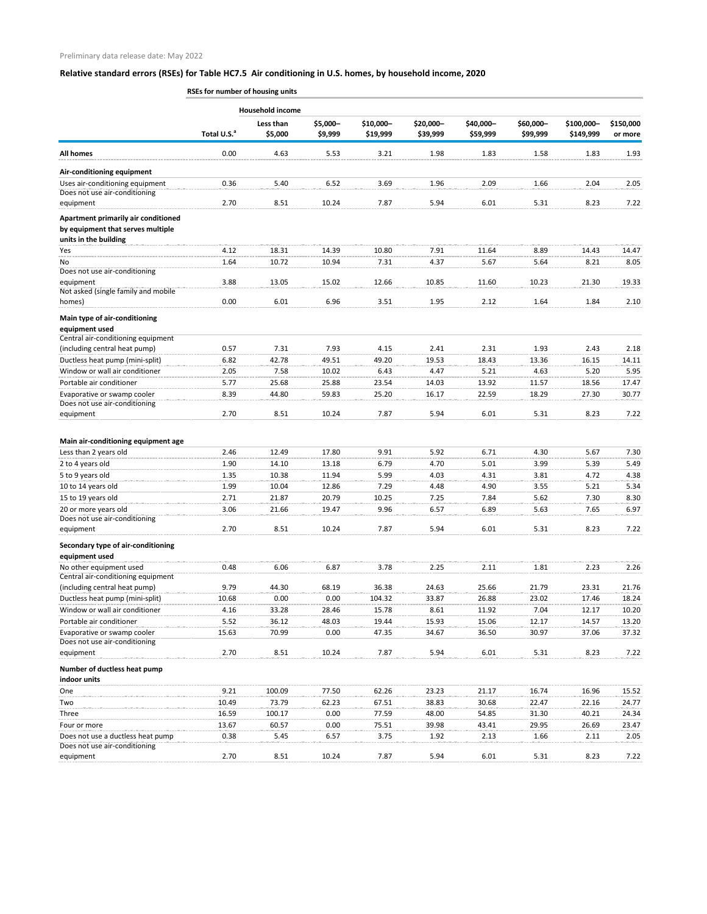| \$5,000-<br>\$10,000-<br>\$20,000-<br>\$40,000-<br>\$60,000-<br>\$100,000-<br>Less than<br>Total U.S. <sup>a</sup><br>\$5,000<br>\$9,999<br>\$19,999<br>\$39,999<br>\$59,999<br>\$99,999<br>\$149,999<br>0.00<br>4.63<br>1.98<br>1.83<br><b>All homes</b><br>5.53<br>3.21<br>1.58<br>1.83<br>Air-conditioning equipment<br>Uses air-conditioning equipment<br>0.36<br>5.40<br>6.52<br>3.69<br>2.09<br>2.04<br>1.96<br>1.66<br>Does not use air-conditioning<br>2.70<br>8.51<br>7.87<br>5.94<br>6.01<br>8.23<br>10.24<br>5.31<br>equipment<br>Apartment primarily air conditioned<br>by equipment that serves multiple<br>units in the building<br>18.31<br>Yes<br>4.12<br>14.39<br>10.80<br>7.91<br>11.64<br>8.89<br>14.43<br>No<br>10.72<br>10.94<br>7.31<br>4.37<br>5.67<br>5.64<br>8.21<br>1.64<br>Does not use air-conditioning<br>3.88<br>13.05<br>15.02<br>12.66<br>10.85<br>11.60<br>10.23<br>21.30<br>19.33<br>equipment<br>Not asked (single family and mobile<br>0.00<br>6.01<br>6.96<br>3.51<br>1.95<br>2.12<br>1.64<br>1.84<br>homes)<br>Main type of air-conditioning<br>equipment used<br>Central air-conditioning equipment<br>7.31<br>7.93<br>0.57<br>4.15<br>2.41<br>2.31<br>1.93<br>2.43<br>(including central heat pump)<br>2.18<br>Ductless heat pump (mini-split)<br>42.78<br>19.53<br>6.82<br>49.51<br>49.20<br>18.43<br>13.36<br>16.15<br>14.11<br>Window or wall air conditioner<br>2.05<br>7.58<br>6.43<br>4.47<br>5.21<br>4.63<br>5.20<br>5.95<br>10.02<br>Portable air conditioner<br>5.77<br>25.68<br>23.54<br>13.92<br>17.47<br>25.88<br>14.03<br>11.57<br>18.56<br>8.39<br>18.29<br>Evaporative or swamp cooler<br>44.80<br>25.20<br>16.17<br>22.59<br>27.30<br>59.83<br>30.77<br>Does not use air-conditioning<br>8.51<br>8.23<br>2.70<br>10.24<br>7.87<br>5.94<br>6.01<br>5.31<br>equipment<br>Main air-conditioning equipment age<br>2.46<br>12.49<br>9.91<br>5.92<br>6.71<br>5.67<br>Less than 2 years old<br>17.80<br>4.30<br>1.90<br>14.10<br>13.18<br>6.79<br>4.70<br>5.01<br>3.99<br>5.39<br>2 to 4 years old<br>5 to 9 years old<br>1.35<br>10.38<br>5.99<br>11.94<br>4.03<br>4.31<br>3.81<br>4.72<br>10 to 14 years old<br>1.99<br>10.04<br>12.86<br>7.29<br>4.48<br>3.55<br>5.21<br>5.34<br>4.90<br>15 to 19 years old<br>20.79<br>2.71<br>21.87<br>10.25<br>7.25<br>7.84<br>5.62<br>7.30<br>8.30<br>20 or more years old<br>3.06<br>21.66<br>9.96<br>6.89<br>19.47<br>6.57<br>5.63<br>7.65<br>Does not use air-conditioning<br>8.51<br>10.24<br>5.94<br>2.70<br>7.87<br>6.01<br>5.31<br>8.23<br>equipment<br>Secondary type of air-conditioning<br>equipment used<br>No other equipment used<br>6.87<br>3.78<br>2.25<br>1.81<br>2.23<br>0.48<br>6.06<br>2.11<br>Central air-conditioning equipment<br>(including central heat pump)<br>9.79<br>44.30<br>68.19<br>36.38<br>24.63<br>25.66<br>21.79<br>23.31<br>Ductless heat pump (mini-split)<br>0.00<br>0.00<br>104.32<br>33.87<br>26.88<br>23.02<br>10.68<br>17.46<br>Window or wall air conditioner<br>4.16<br>33.28<br>28.46<br>15.78<br>8.61<br>11.92<br>7.04<br>12.17<br>10.20<br>Portable air conditioner<br>36.12<br>19.44<br>12.17<br>5.52<br>48.03<br>15.93<br>15.06<br>14.57 |  | <b>Household income</b> |  |  |  |                      |
|-----------------------------------------------------------------------------------------------------------------------------------------------------------------------------------------------------------------------------------------------------------------------------------------------------------------------------------------------------------------------------------------------------------------------------------------------------------------------------------------------------------------------------------------------------------------------------------------------------------------------------------------------------------------------------------------------------------------------------------------------------------------------------------------------------------------------------------------------------------------------------------------------------------------------------------------------------------------------------------------------------------------------------------------------------------------------------------------------------------------------------------------------------------------------------------------------------------------------------------------------------------------------------------------------------------------------------------------------------------------------------------------------------------------------------------------------------------------------------------------------------------------------------------------------------------------------------------------------------------------------------------------------------------------------------------------------------------------------------------------------------------------------------------------------------------------------------------------------------------------------------------------------------------------------------------------------------------------------------------------------------------------------------------------------------------------------------------------------------------------------------------------------------------------------------------------------------------------------------------------------------------------------------------------------------------------------------------------------------------------------------------------------------------------------------------------------------------------------------------------------------------------------------------------------------------------------------------------------------------------------------------------------------------------------------------------------------------------------------------------------------------------------------------------------------------------------------------------------------------------------------------------------------------------------------------------------------------------------------------------------------------------------------------------------------------------------------------------------------------------------------------------------------------------------------------|--|-------------------------|--|--|--|----------------------|
|                                                                                                                                                                                                                                                                                                                                                                                                                                                                                                                                                                                                                                                                                                                                                                                                                                                                                                                                                                                                                                                                                                                                                                                                                                                                                                                                                                                                                                                                                                                                                                                                                                                                                                                                                                                                                                                                                                                                                                                                                                                                                                                                                                                                                                                                                                                                                                                                                                                                                                                                                                                                                                                                                                                                                                                                                                                                                                                                                                                                                                                                                                                                                                                   |  |                         |  |  |  | \$150,000<br>or more |
|                                                                                                                                                                                                                                                                                                                                                                                                                                                                                                                                                                                                                                                                                                                                                                                                                                                                                                                                                                                                                                                                                                                                                                                                                                                                                                                                                                                                                                                                                                                                                                                                                                                                                                                                                                                                                                                                                                                                                                                                                                                                                                                                                                                                                                                                                                                                                                                                                                                                                                                                                                                                                                                                                                                                                                                                                                                                                                                                                                                                                                                                                                                                                                                   |  |                         |  |  |  | 1.93                 |
|                                                                                                                                                                                                                                                                                                                                                                                                                                                                                                                                                                                                                                                                                                                                                                                                                                                                                                                                                                                                                                                                                                                                                                                                                                                                                                                                                                                                                                                                                                                                                                                                                                                                                                                                                                                                                                                                                                                                                                                                                                                                                                                                                                                                                                                                                                                                                                                                                                                                                                                                                                                                                                                                                                                                                                                                                                                                                                                                                                                                                                                                                                                                                                                   |  |                         |  |  |  |                      |
|                                                                                                                                                                                                                                                                                                                                                                                                                                                                                                                                                                                                                                                                                                                                                                                                                                                                                                                                                                                                                                                                                                                                                                                                                                                                                                                                                                                                                                                                                                                                                                                                                                                                                                                                                                                                                                                                                                                                                                                                                                                                                                                                                                                                                                                                                                                                                                                                                                                                                                                                                                                                                                                                                                                                                                                                                                                                                                                                                                                                                                                                                                                                                                                   |  |                         |  |  |  | 2.05                 |
|                                                                                                                                                                                                                                                                                                                                                                                                                                                                                                                                                                                                                                                                                                                                                                                                                                                                                                                                                                                                                                                                                                                                                                                                                                                                                                                                                                                                                                                                                                                                                                                                                                                                                                                                                                                                                                                                                                                                                                                                                                                                                                                                                                                                                                                                                                                                                                                                                                                                                                                                                                                                                                                                                                                                                                                                                                                                                                                                                                                                                                                                                                                                                                                   |  |                         |  |  |  | 7.22                 |
|                                                                                                                                                                                                                                                                                                                                                                                                                                                                                                                                                                                                                                                                                                                                                                                                                                                                                                                                                                                                                                                                                                                                                                                                                                                                                                                                                                                                                                                                                                                                                                                                                                                                                                                                                                                                                                                                                                                                                                                                                                                                                                                                                                                                                                                                                                                                                                                                                                                                                                                                                                                                                                                                                                                                                                                                                                                                                                                                                                                                                                                                                                                                                                                   |  |                         |  |  |  |                      |
|                                                                                                                                                                                                                                                                                                                                                                                                                                                                                                                                                                                                                                                                                                                                                                                                                                                                                                                                                                                                                                                                                                                                                                                                                                                                                                                                                                                                                                                                                                                                                                                                                                                                                                                                                                                                                                                                                                                                                                                                                                                                                                                                                                                                                                                                                                                                                                                                                                                                                                                                                                                                                                                                                                                                                                                                                                                                                                                                                                                                                                                                                                                                                                                   |  |                         |  |  |  | 14.47                |
|                                                                                                                                                                                                                                                                                                                                                                                                                                                                                                                                                                                                                                                                                                                                                                                                                                                                                                                                                                                                                                                                                                                                                                                                                                                                                                                                                                                                                                                                                                                                                                                                                                                                                                                                                                                                                                                                                                                                                                                                                                                                                                                                                                                                                                                                                                                                                                                                                                                                                                                                                                                                                                                                                                                                                                                                                                                                                                                                                                                                                                                                                                                                                                                   |  |                         |  |  |  | 8.05                 |
|                                                                                                                                                                                                                                                                                                                                                                                                                                                                                                                                                                                                                                                                                                                                                                                                                                                                                                                                                                                                                                                                                                                                                                                                                                                                                                                                                                                                                                                                                                                                                                                                                                                                                                                                                                                                                                                                                                                                                                                                                                                                                                                                                                                                                                                                                                                                                                                                                                                                                                                                                                                                                                                                                                                                                                                                                                                                                                                                                                                                                                                                                                                                                                                   |  |                         |  |  |  |                      |
|                                                                                                                                                                                                                                                                                                                                                                                                                                                                                                                                                                                                                                                                                                                                                                                                                                                                                                                                                                                                                                                                                                                                                                                                                                                                                                                                                                                                                                                                                                                                                                                                                                                                                                                                                                                                                                                                                                                                                                                                                                                                                                                                                                                                                                                                                                                                                                                                                                                                                                                                                                                                                                                                                                                                                                                                                                                                                                                                                                                                                                                                                                                                                                                   |  |                         |  |  |  |                      |
|                                                                                                                                                                                                                                                                                                                                                                                                                                                                                                                                                                                                                                                                                                                                                                                                                                                                                                                                                                                                                                                                                                                                                                                                                                                                                                                                                                                                                                                                                                                                                                                                                                                                                                                                                                                                                                                                                                                                                                                                                                                                                                                                                                                                                                                                                                                                                                                                                                                                                                                                                                                                                                                                                                                                                                                                                                                                                                                                                                                                                                                                                                                                                                                   |  |                         |  |  |  | 2.10                 |
|                                                                                                                                                                                                                                                                                                                                                                                                                                                                                                                                                                                                                                                                                                                                                                                                                                                                                                                                                                                                                                                                                                                                                                                                                                                                                                                                                                                                                                                                                                                                                                                                                                                                                                                                                                                                                                                                                                                                                                                                                                                                                                                                                                                                                                                                                                                                                                                                                                                                                                                                                                                                                                                                                                                                                                                                                                                                                                                                                                                                                                                                                                                                                                                   |  |                         |  |  |  |                      |
|                                                                                                                                                                                                                                                                                                                                                                                                                                                                                                                                                                                                                                                                                                                                                                                                                                                                                                                                                                                                                                                                                                                                                                                                                                                                                                                                                                                                                                                                                                                                                                                                                                                                                                                                                                                                                                                                                                                                                                                                                                                                                                                                                                                                                                                                                                                                                                                                                                                                                                                                                                                                                                                                                                                                                                                                                                                                                                                                                                                                                                                                                                                                                                                   |  |                         |  |  |  |                      |
|                                                                                                                                                                                                                                                                                                                                                                                                                                                                                                                                                                                                                                                                                                                                                                                                                                                                                                                                                                                                                                                                                                                                                                                                                                                                                                                                                                                                                                                                                                                                                                                                                                                                                                                                                                                                                                                                                                                                                                                                                                                                                                                                                                                                                                                                                                                                                                                                                                                                                                                                                                                                                                                                                                                                                                                                                                                                                                                                                                                                                                                                                                                                                                                   |  |                         |  |  |  |                      |
|                                                                                                                                                                                                                                                                                                                                                                                                                                                                                                                                                                                                                                                                                                                                                                                                                                                                                                                                                                                                                                                                                                                                                                                                                                                                                                                                                                                                                                                                                                                                                                                                                                                                                                                                                                                                                                                                                                                                                                                                                                                                                                                                                                                                                                                                                                                                                                                                                                                                                                                                                                                                                                                                                                                                                                                                                                                                                                                                                                                                                                                                                                                                                                                   |  |                         |  |  |  |                      |
|                                                                                                                                                                                                                                                                                                                                                                                                                                                                                                                                                                                                                                                                                                                                                                                                                                                                                                                                                                                                                                                                                                                                                                                                                                                                                                                                                                                                                                                                                                                                                                                                                                                                                                                                                                                                                                                                                                                                                                                                                                                                                                                                                                                                                                                                                                                                                                                                                                                                                                                                                                                                                                                                                                                                                                                                                                                                                                                                                                                                                                                                                                                                                                                   |  |                         |  |  |  |                      |
|                                                                                                                                                                                                                                                                                                                                                                                                                                                                                                                                                                                                                                                                                                                                                                                                                                                                                                                                                                                                                                                                                                                                                                                                                                                                                                                                                                                                                                                                                                                                                                                                                                                                                                                                                                                                                                                                                                                                                                                                                                                                                                                                                                                                                                                                                                                                                                                                                                                                                                                                                                                                                                                                                                                                                                                                                                                                                                                                                                                                                                                                                                                                                                                   |  |                         |  |  |  |                      |
|                                                                                                                                                                                                                                                                                                                                                                                                                                                                                                                                                                                                                                                                                                                                                                                                                                                                                                                                                                                                                                                                                                                                                                                                                                                                                                                                                                                                                                                                                                                                                                                                                                                                                                                                                                                                                                                                                                                                                                                                                                                                                                                                                                                                                                                                                                                                                                                                                                                                                                                                                                                                                                                                                                                                                                                                                                                                                                                                                                                                                                                                                                                                                                                   |  |                         |  |  |  |                      |
|                                                                                                                                                                                                                                                                                                                                                                                                                                                                                                                                                                                                                                                                                                                                                                                                                                                                                                                                                                                                                                                                                                                                                                                                                                                                                                                                                                                                                                                                                                                                                                                                                                                                                                                                                                                                                                                                                                                                                                                                                                                                                                                                                                                                                                                                                                                                                                                                                                                                                                                                                                                                                                                                                                                                                                                                                                                                                                                                                                                                                                                                                                                                                                                   |  |                         |  |  |  | 7.22                 |
|                                                                                                                                                                                                                                                                                                                                                                                                                                                                                                                                                                                                                                                                                                                                                                                                                                                                                                                                                                                                                                                                                                                                                                                                                                                                                                                                                                                                                                                                                                                                                                                                                                                                                                                                                                                                                                                                                                                                                                                                                                                                                                                                                                                                                                                                                                                                                                                                                                                                                                                                                                                                                                                                                                                                                                                                                                                                                                                                                                                                                                                                                                                                                                                   |  |                         |  |  |  |                      |
|                                                                                                                                                                                                                                                                                                                                                                                                                                                                                                                                                                                                                                                                                                                                                                                                                                                                                                                                                                                                                                                                                                                                                                                                                                                                                                                                                                                                                                                                                                                                                                                                                                                                                                                                                                                                                                                                                                                                                                                                                                                                                                                                                                                                                                                                                                                                                                                                                                                                                                                                                                                                                                                                                                                                                                                                                                                                                                                                                                                                                                                                                                                                                                                   |  |                         |  |  |  | 7.30                 |
|                                                                                                                                                                                                                                                                                                                                                                                                                                                                                                                                                                                                                                                                                                                                                                                                                                                                                                                                                                                                                                                                                                                                                                                                                                                                                                                                                                                                                                                                                                                                                                                                                                                                                                                                                                                                                                                                                                                                                                                                                                                                                                                                                                                                                                                                                                                                                                                                                                                                                                                                                                                                                                                                                                                                                                                                                                                                                                                                                                                                                                                                                                                                                                                   |  |                         |  |  |  | 5.49                 |
|                                                                                                                                                                                                                                                                                                                                                                                                                                                                                                                                                                                                                                                                                                                                                                                                                                                                                                                                                                                                                                                                                                                                                                                                                                                                                                                                                                                                                                                                                                                                                                                                                                                                                                                                                                                                                                                                                                                                                                                                                                                                                                                                                                                                                                                                                                                                                                                                                                                                                                                                                                                                                                                                                                                                                                                                                                                                                                                                                                                                                                                                                                                                                                                   |  |                         |  |  |  | 4.38                 |
|                                                                                                                                                                                                                                                                                                                                                                                                                                                                                                                                                                                                                                                                                                                                                                                                                                                                                                                                                                                                                                                                                                                                                                                                                                                                                                                                                                                                                                                                                                                                                                                                                                                                                                                                                                                                                                                                                                                                                                                                                                                                                                                                                                                                                                                                                                                                                                                                                                                                                                                                                                                                                                                                                                                                                                                                                                                                                                                                                                                                                                                                                                                                                                                   |  |                         |  |  |  |                      |
|                                                                                                                                                                                                                                                                                                                                                                                                                                                                                                                                                                                                                                                                                                                                                                                                                                                                                                                                                                                                                                                                                                                                                                                                                                                                                                                                                                                                                                                                                                                                                                                                                                                                                                                                                                                                                                                                                                                                                                                                                                                                                                                                                                                                                                                                                                                                                                                                                                                                                                                                                                                                                                                                                                                                                                                                                                                                                                                                                                                                                                                                                                                                                                                   |  |                         |  |  |  |                      |
|                                                                                                                                                                                                                                                                                                                                                                                                                                                                                                                                                                                                                                                                                                                                                                                                                                                                                                                                                                                                                                                                                                                                                                                                                                                                                                                                                                                                                                                                                                                                                                                                                                                                                                                                                                                                                                                                                                                                                                                                                                                                                                                                                                                                                                                                                                                                                                                                                                                                                                                                                                                                                                                                                                                                                                                                                                                                                                                                                                                                                                                                                                                                                                                   |  |                         |  |  |  | 6.97                 |
|                                                                                                                                                                                                                                                                                                                                                                                                                                                                                                                                                                                                                                                                                                                                                                                                                                                                                                                                                                                                                                                                                                                                                                                                                                                                                                                                                                                                                                                                                                                                                                                                                                                                                                                                                                                                                                                                                                                                                                                                                                                                                                                                                                                                                                                                                                                                                                                                                                                                                                                                                                                                                                                                                                                                                                                                                                                                                                                                                                                                                                                                                                                                                                                   |  |                         |  |  |  | 7.22                 |
|                                                                                                                                                                                                                                                                                                                                                                                                                                                                                                                                                                                                                                                                                                                                                                                                                                                                                                                                                                                                                                                                                                                                                                                                                                                                                                                                                                                                                                                                                                                                                                                                                                                                                                                                                                                                                                                                                                                                                                                                                                                                                                                                                                                                                                                                                                                                                                                                                                                                                                                                                                                                                                                                                                                                                                                                                                                                                                                                                                                                                                                                                                                                                                                   |  |                         |  |  |  |                      |
|                                                                                                                                                                                                                                                                                                                                                                                                                                                                                                                                                                                                                                                                                                                                                                                                                                                                                                                                                                                                                                                                                                                                                                                                                                                                                                                                                                                                                                                                                                                                                                                                                                                                                                                                                                                                                                                                                                                                                                                                                                                                                                                                                                                                                                                                                                                                                                                                                                                                                                                                                                                                                                                                                                                                                                                                                                                                                                                                                                                                                                                                                                                                                                                   |  |                         |  |  |  | 2.26                 |
|                                                                                                                                                                                                                                                                                                                                                                                                                                                                                                                                                                                                                                                                                                                                                                                                                                                                                                                                                                                                                                                                                                                                                                                                                                                                                                                                                                                                                                                                                                                                                                                                                                                                                                                                                                                                                                                                                                                                                                                                                                                                                                                                                                                                                                                                                                                                                                                                                                                                                                                                                                                                                                                                                                                                                                                                                                                                                                                                                                                                                                                                                                                                                                                   |  |                         |  |  |  | 21.76                |
|                                                                                                                                                                                                                                                                                                                                                                                                                                                                                                                                                                                                                                                                                                                                                                                                                                                                                                                                                                                                                                                                                                                                                                                                                                                                                                                                                                                                                                                                                                                                                                                                                                                                                                                                                                                                                                                                                                                                                                                                                                                                                                                                                                                                                                                                                                                                                                                                                                                                                                                                                                                                                                                                                                                                                                                                                                                                                                                                                                                                                                                                                                                                                                                   |  |                         |  |  |  | 18.24                |
|                                                                                                                                                                                                                                                                                                                                                                                                                                                                                                                                                                                                                                                                                                                                                                                                                                                                                                                                                                                                                                                                                                                                                                                                                                                                                                                                                                                                                                                                                                                                                                                                                                                                                                                                                                                                                                                                                                                                                                                                                                                                                                                                                                                                                                                                                                                                                                                                                                                                                                                                                                                                                                                                                                                                                                                                                                                                                                                                                                                                                                                                                                                                                                                   |  |                         |  |  |  |                      |
|                                                                                                                                                                                                                                                                                                                                                                                                                                                                                                                                                                                                                                                                                                                                                                                                                                                                                                                                                                                                                                                                                                                                                                                                                                                                                                                                                                                                                                                                                                                                                                                                                                                                                                                                                                                                                                                                                                                                                                                                                                                                                                                                                                                                                                                                                                                                                                                                                                                                                                                                                                                                                                                                                                                                                                                                                                                                                                                                                                                                                                                                                                                                                                                   |  |                         |  |  |  | 13.20                |
| Evaporative or swamp cooler<br>70.99<br>15.63<br>0.00<br>47.35<br>34.67<br>36.50<br>30.97<br>37.06<br>Does not use air-conditioning                                                                                                                                                                                                                                                                                                                                                                                                                                                                                                                                                                                                                                                                                                                                                                                                                                                                                                                                                                                                                                                                                                                                                                                                                                                                                                                                                                                                                                                                                                                                                                                                                                                                                                                                                                                                                                                                                                                                                                                                                                                                                                                                                                                                                                                                                                                                                                                                                                                                                                                                                                                                                                                                                                                                                                                                                                                                                                                                                                                                                                               |  |                         |  |  |  | 37.32                |
| 8.51<br>6.01<br>8.23<br>2.70<br>10.24<br>7.87<br>5.94<br>5.31<br>equipment                                                                                                                                                                                                                                                                                                                                                                                                                                                                                                                                                                                                                                                                                                                                                                                                                                                                                                                                                                                                                                                                                                                                                                                                                                                                                                                                                                                                                                                                                                                                                                                                                                                                                                                                                                                                                                                                                                                                                                                                                                                                                                                                                                                                                                                                                                                                                                                                                                                                                                                                                                                                                                                                                                                                                                                                                                                                                                                                                                                                                                                                                                        |  |                         |  |  |  | 7.22                 |
| Number of ductless heat pump<br>indoor units                                                                                                                                                                                                                                                                                                                                                                                                                                                                                                                                                                                                                                                                                                                                                                                                                                                                                                                                                                                                                                                                                                                                                                                                                                                                                                                                                                                                                                                                                                                                                                                                                                                                                                                                                                                                                                                                                                                                                                                                                                                                                                                                                                                                                                                                                                                                                                                                                                                                                                                                                                                                                                                                                                                                                                                                                                                                                                                                                                                                                                                                                                                                      |  |                         |  |  |  |                      |
| One<br>9.21<br>100.09<br>77.50<br>62.26<br>23.23<br>16.74<br>16.96<br>21.17                                                                                                                                                                                                                                                                                                                                                                                                                                                                                                                                                                                                                                                                                                                                                                                                                                                                                                                                                                                                                                                                                                                                                                                                                                                                                                                                                                                                                                                                                                                                                                                                                                                                                                                                                                                                                                                                                                                                                                                                                                                                                                                                                                                                                                                                                                                                                                                                                                                                                                                                                                                                                                                                                                                                                                                                                                                                                                                                                                                                                                                                                                       |  |                         |  |  |  | 15.52                |
| 62.23<br>10.49<br>73.79<br>67.51<br>38.83<br>30.68<br>22.47<br>22.16<br>Two                                                                                                                                                                                                                                                                                                                                                                                                                                                                                                                                                                                                                                                                                                                                                                                                                                                                                                                                                                                                                                                                                                                                                                                                                                                                                                                                                                                                                                                                                                                                                                                                                                                                                                                                                                                                                                                                                                                                                                                                                                                                                                                                                                                                                                                                                                                                                                                                                                                                                                                                                                                                                                                                                                                                                                                                                                                                                                                                                                                                                                                                                                       |  |                         |  |  |  | 24.77                |

| Three                             | 16.59 | 100.17        | 0.OC  | 77.59 | 48.00 | 54.85 | 31.30 | 40.21 | 24.34 |
|-----------------------------------|-------|---------------|-------|-------|-------|-------|-------|-------|-------|
| Four or more                      | 13.67 | 60.57         | 0.OC  |       | 39.98 | 43.41 | 29.95 | 26.69 | 23.47 |
| Does not use a ductless heat pump | 0.38  | 5.45          | . .   |       | 1.92  |       | ۔ 66. |       | 2.05  |
| Does not use air-conditioning     |       |               |       |       |       |       |       |       |       |
| equipment                         | 2.7C  | $8.5^{\circ}$ | 10.24 | 7.87  | 5.94  |       |       | 8.23  |       |

**RSEs for number of housing units**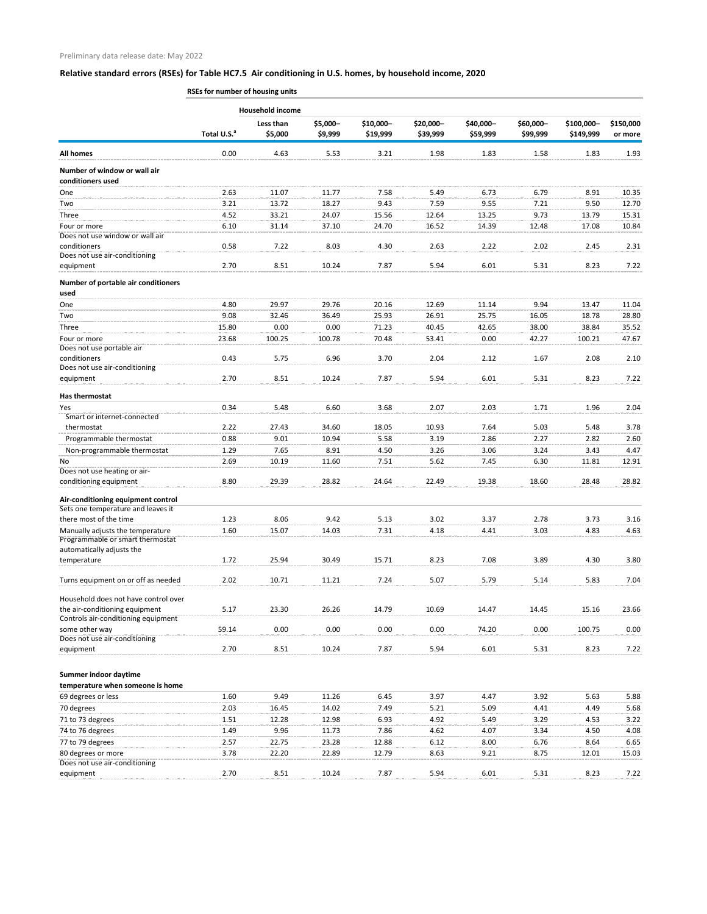**RSEs for number of housing units**

|                                                                          |                         | <b>Household income</b> |          |           |           |           |           |            |           |
|--------------------------------------------------------------------------|-------------------------|-------------------------|----------|-----------|-----------|-----------|-----------|------------|-----------|
|                                                                          |                         | Less than               | \$5,000- | \$10,000- | \$20,000- | \$40,000- | \$60,000- | \$100,000- | \$150,000 |
|                                                                          | Total U.S. <sup>a</sup> | \$5,000                 | \$9,999  | \$19,999  | \$39,999  | \$59,999  | \$99,999  | \$149,999  | or more   |
| All homes                                                                | 0.00                    | 4.63                    | 5.53     | 3.21      | 1.98      | 1.83      | 1.58      | 1.83       | 1.93      |
| Number of window or wall air<br>conditioners used                        |                         |                         |          |           |           |           |           |            |           |
| One                                                                      | 2.63                    | 11.07                   | 11.77    | 7.58      | 5.49      | 6.73      | 6.79      | 8.91       | 10.35     |
| Two                                                                      | 3.21                    | 13.72                   | 18.27    | 9.43      | 7.59      | 9.55      | 7.21      | 9.50       | 12.70     |
| Three                                                                    | 4.52                    | 33.21                   | 24.07    | 15.56     | 12.64     | 13.25     | 9.73      | 13.79      | 15.31     |
| Four or more<br>Does not use window or wall air                          | 6.10                    | 31.14                   | 37.10    | 24.70     | 16.52     | 14.39     | 12.48     | 17.08      | 10.84     |
| conditioners                                                             | 0.58                    | 7.22                    | 8.03     | 4.30      | 2.63      | 2.22      | 2.02      | 2.45       | 2.31      |
| Does not use air-conditioning                                            |                         |                         |          |           |           |           |           |            |           |
| equipment                                                                | 2.70                    | 8.51                    | 10.24    | 7.87      | 5.94      | 6.01      | 5.31      | 8.23       | 7.22      |
| Number of portable air conditioners<br>used                              |                         |                         |          |           |           |           |           |            |           |
| One                                                                      | 4.80                    | 29.97                   | 29.76    | 20.16     | 12.69     | 11.14     | 9.94      | 13.47      | 11.04     |
| Two                                                                      | 9.08                    | 32.46                   | 36.49    | 25.93     | 26.91     | 25.75     | 16.05     | 18.78      | 28.80     |
| Three                                                                    | 15.80                   | 0.00                    | 0.00     | 71.23     | 40.45     | 42.65     | 38.00     | 38.84      | 35.52     |
| Four or more<br>Does not use portable air                                | 23.68                   | 100.25                  | 100.78   | 70.48     | 53.41     | 0.00      | 42.27     | 100.21     | 47.67     |
| conditioners<br>Does not use air-conditioning                            | 0.43                    | 5.75                    | 6.96     | 3.70      | 2.04      | 2.12      | 1.67      | 2.08       | 2.10      |
| equipment                                                                | 2.70                    | 8.51                    | 10.24    | 7.87      | 5.94      | 6.01      | 5.31      | 8.23       | 7.22      |
| Has thermostat                                                           |                         |                         |          |           |           |           |           |            |           |
| Yes<br>Smart or internet-connected                                       | 0.34                    | 5.48                    | 6.60     | 3.68      | 2.07      | 2.03      | 1.71      | 1.96       | 2.04      |
| thermostat                                                               | 2.22                    | 27.43                   | 34.60    | 18.05     | 10.93     | 7.64      | 5.03      | 5.48       | 3.78      |
| Programmable thermostat                                                  | 0.88                    | 9.01                    | 10.94    | 5.58      | 3.19      | 2.86      | 2.27      | 2.82       | 2.60      |
| Non-programmable thermostat                                              | 1.29                    | 7.65                    | 8.91     | 4.50      | 3.26      | 3.06      | 3.24      | 3.43       | 4.47      |
| No                                                                       | 2.69                    | 10.19                   | 11.60    | 7.51      | 5.62      | 7.45      | 6.30      | 11.81      | 12.91     |
| Does not use heating or air-                                             |                         |                         |          |           |           |           |           |            |           |
| conditioning equipment                                                   | 8.80                    | 29.39                   | 28.82    | 24.64     | 22.49     | 19.38     | 18.60     | 28.48      | 28.82     |
| Air-conditioning equipment control<br>Sets one temperature and leaves it |                         |                         |          |           |           |           |           |            |           |
| there most of the time                                                   | 1.23                    | 8.06                    | 9.42     | 5.13      | 3.02      | 3.37      | 2.78      | 3.73       | 3.16      |
| Manually adjusts the temperature<br>Programmable or smart thermostat     | 1.60                    | 15.07                   | 14.03    | 7.31      | 4.18      | 4.41      | 3.03      | 4.83       | 4.63      |
| automatically adjusts the                                                |                         |                         |          |           |           |           |           |            |           |
| temperature                                                              | 1.72                    | 25.94                   | 30.49    | 15.71     | 8.23      | 7.08      | 3.89      | 4.30       | 3.80      |
| Turns equipment on or off as needed                                      | 2.02                    | 10.71                   | 11.21    | 7.24      | 5.07      | 5.79      | 5.14      | 5.83       | 7.04      |
| Household does not have control over                                     |                         |                         |          |           |           |           |           |            |           |
| the air-conditioning equipment<br>Controls air-conditioning equipment    | 5.17                    | 23.30                   | 26.26    | 14.79     | 10.69     | 14.47     | 14.45     | 15.16      | 23.66     |
| some other way                                                           | 59.14                   | 0.00                    | 0.00     | 0.00      | 0.00      | 74.20     | 0.00      | 100.75     | 0.00      |
| Does not use air-conditioning<br>equipment                               | 2.70                    | 8.51                    | 10.24    | 7.87      | 5.94      | 6.01      | 5.31      | 8.23       | 7.22      |
|                                                                          |                         |                         |          |           |           |           |           |            |           |
| Summer indoor daytime<br>temperature when someone is home                |                         |                         |          |           |           |           |           |            |           |
| 69 degrees or less                                                       | 1.60                    | 9.49                    | 11.26    | 6.45      | 3.97      | 4.47      | 3.92      | 5.63       | 5.88      |
| 70 degrees                                                               | 2.03                    | 16.45                   | 14.02    | 7.49      | 5.21      | 5.09      | 4.41      | 4.49       | 5.68      |

| 71 to 73 degrees              | 1.51 | 12.28 | 12.98 | 6.93  | 4.92 | 5.49 | 3.29 | 4.53  | 3.22  |
|-------------------------------|------|-------|-------|-------|------|------|------|-------|-------|
| 74 to 76 degrees              | 1.49 | 9.96  | 11.73 | 7.86  | 4.62 | 4.07 | 3.34 | 4.50  | 4.08  |
| 77 to 79 degrees              | 2.57 | 22.75 | 23.28 | 12.88 | 6.12 | 8.00 | 6.76 | 8.64  | 6.65  |
| 80 degrees or more            | 3.78 | 22.20 | 22.89 | 12.79 | 8.63 |      | 8.75 | 12.01 | 15.03 |
| Does not use air-conditioning |      |       |       |       |      |      |      |       |       |
| equipment                     | 2.70 | 8.51  | 10.24 | 7.87  | 5.94 | 6.01 | 5.31 | 8.23  | 7.22  |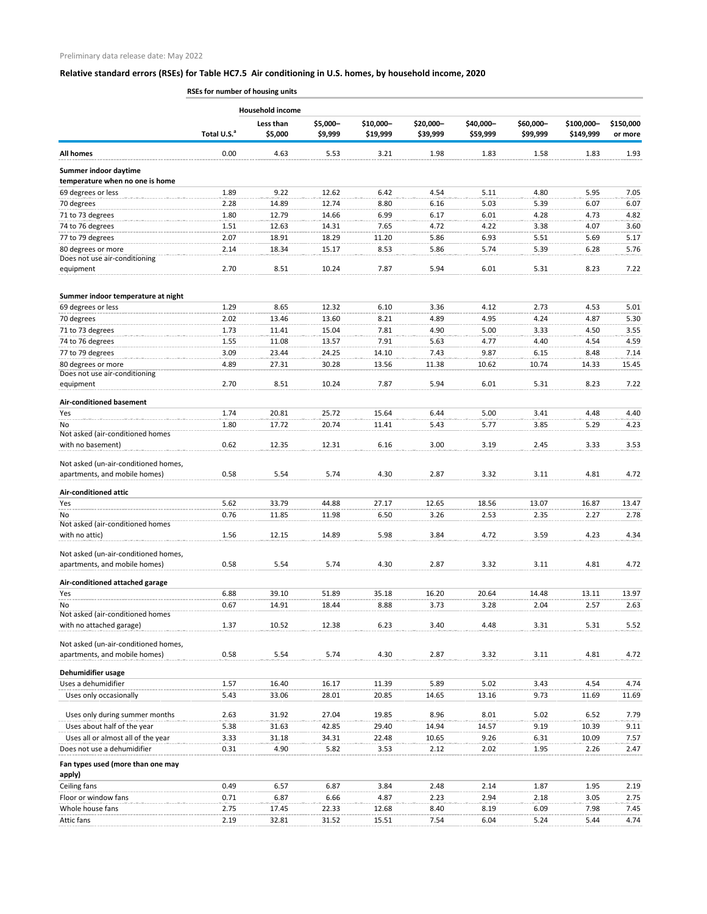**RSEs for number of housing units**

|                                                                       | <b>Household income</b> |           |          |           |           |           |           |            |           |
|-----------------------------------------------------------------------|-------------------------|-----------|----------|-----------|-----------|-----------|-----------|------------|-----------|
|                                                                       |                         | Less than | \$5,000- | \$10,000- | \$20,000- | \$40,000- | \$60,000- | \$100,000- | \$150,000 |
|                                                                       | Total U.S. <sup>a</sup> | \$5,000   | \$9,999  | \$19,999  | \$39,999  | \$59,999  | \$99,999  | \$149,999  | or more   |
| All homes                                                             | 0.00                    | 4.63      | 5.53     | 3.21      | 1.98      | 1.83      | 1.58      | 1.83       | 1.93      |
| Summer indoor daytime<br>temperature when no one is home              |                         |           |          |           |           |           |           |            |           |
| 69 degrees or less                                                    | 1.89                    | 9.22      | 12.62    | 6.42      | 4.54      | 5.11      | 4.80      | 5.95       | 7.05      |
| 70 degrees                                                            | 2.28                    | 14.89     | 12.74    | 8.80      | 6.16      | 5.03      | 5.39      | 6.07       | 6.07      |
| 71 to 73 degrees                                                      | 1.80                    | 12.79     | 14.66    | 6.99      | 6.17      | 6.01      | 4.28      | 4.73       | 4.82      |
| 74 to 76 degrees                                                      | 1.51                    | 12.63     | 14.31    | 7.65      | 4.72      | 4.22      | 3.38      | 4.07       | 3.60      |
| 77 to 79 degrees                                                      | 2.07                    | 18.91     | 18.29    | 11.20     | 5.86      | 6.93      | 5.51      | 5.69       | 5.17      |
| 80 degrees or more                                                    | 2.14                    | 18.34     | 15.17    | 8.53      | 5.86      | 5.74      | 5.39      | 6.28       | 5.76      |
| Does not use air-conditioning                                         |                         |           |          |           |           |           |           |            |           |
| equipment                                                             | 2.70                    | 8.51      | 10.24    | 7.87      | 5.94      | 6.01      | 5.31      | 8.23       | 7.22      |
| Summer indoor temperature at night                                    |                         |           |          |           |           |           |           |            |           |
| 69 degrees or less                                                    | 1.29                    | 8.65      | 12.32    | 6.10      | 3.36      | 4.12      | 2.73      | 4.53       | 5.01      |
| 70 degrees                                                            | 2.02                    | 13.46     | 13.60    | 8.21      | 4.89      | 4.95      | 4.24      | 4.87       | 5.30      |
| 71 to 73 degrees                                                      | 1.73                    | 11.41     | 15.04    | 7.81      | 4.90      | 5.00      | 3.33      | 4.50       | 3.55      |
| 74 to 76 degrees                                                      | 1.55                    | 11.08     | 13.57    | 7.91      | 5.63      | 4.77      | 4.40      | 4.54       | 4.59      |
| 77 to 79 degrees                                                      | 3.09                    | 23.44     | 24.25    | 14.10     | 7.43      | 9.87      | 6.15      | 8.48       | 7.14      |
| 80 degrees or more                                                    | 4.89                    | 27.31     | 30.28    | 13.56     | 11.38     | 10.62     | 10.74     | 14.33      | 15.45     |
| Does not use air-conditioning                                         |                         |           |          |           |           |           |           |            |           |
| equipment                                                             | 2.70                    | 8.51      | 10.24    | 7.87      | 5.94      | 6.01      | 5.31      | 8.23       | 7.22      |
| Air-conditioned basement                                              |                         |           |          |           |           |           |           |            |           |
| Yes                                                                   | 1.74                    | 20.81     | 25.72    | 15.64     | 6.44      | 5.00      | 3.41      | 4.48       | 4.40      |
| No                                                                    | 1.80                    | 17.72     | 20.74    | 11.41     | 5.43      | 5.77      | 3.85      | 5.29       | 4.23      |
| Not asked (air-conditioned homes                                      |                         |           |          |           |           |           |           |            |           |
| with no basement)                                                     | 0.62                    | 12.35     | 12.31    | 6.16      | 3.00      | 3.19      | 2.45      | 3.33       | 3.53      |
| Not asked (un-air-conditioned homes,<br>apartments, and mobile homes) | 0.58                    | 5.54      | 5.74     | 4.30      | 2.87      | 3.32      | 3.11      | 4.81       | 4.72      |
| <b>Air-conditioned attic</b>                                          |                         |           |          |           |           |           |           |            |           |
| Yes                                                                   | 5.62                    | 33.79     | 44.88    | 27.17     | 12.65     | 18.56     | 13.07     | 16.87      | 13.47     |
| No                                                                    | 0.76                    | 11.85     | 11.98    | 6.50      | 3.26      | 2.53      | 2.35      | 2.27       | 2.78      |
| Not asked (air-conditioned homes                                      |                         |           |          |           |           |           |           |            |           |
| with no attic)                                                        | 1.56                    | 12.15     | 14.89    | 5.98      | 3.84      | 4.72      | 3.59      | 4.23       | 4.34      |
| Not asked (un-air-conditioned homes,                                  |                         |           |          |           |           |           |           |            |           |
| apartments, and mobile homes)                                         | 0.58                    | 5.54      | 5.74     | 4.30      | 2.87      | 3.32      | 3.11      | 4.81       | 4.72      |
| Air-conditioned attached garage                                       |                         |           |          |           |           |           |           |            |           |
| Yes                                                                   | 6.88                    | 39.10     | 51.89    | 35.18     | 16.20     | 20.64     | 14.48     | 13.11      | 13.97     |
| No.                                                                   | 0.67                    | 14.91     | 18.44    | 8.88      | 3.73      | 3.28      | 2.04      | 2.57       | 2.63      |
| Not asked (air-conditioned homes<br>with no attached garage)          | 1.37                    | 10.52     | 12.38    | 6.23      | 3.40      | 4.48      | 3.31      | 5.31       | 5.52      |
|                                                                       |                         |           |          |           |           |           |           |            |           |
| Not asked (un-air-conditioned homes,                                  |                         |           |          |           |           |           |           |            |           |
| apartments, and mobile homes)                                         | 0.58                    | 5.54      | 5.74     | 4.30      | 2.87      | 3.32      | 3.11      | 4.81       | 4.72      |
| Dehumidifier usage                                                    |                         |           |          |           |           |           |           |            |           |
| Uses a dehumidifier                                                   | 1.57                    | 16.40     | 16.17    | 11.39     | 5.89      | 5.02      | 3.43      | 4.54       | 4.74      |
| Uses only occasionally                                                | 5.43                    | 33.06     | 28.01    | 20.85     | 14.65     | 13.16     | 9.73      | 11.69      | 11.69     |
| Uses only during summer months                                        | 2.63                    | 31.92     | 27.04    | 19.85     | 8.96      | 8.01      | 5.02      | 6.52       | 7.79      |
| Uses about half of the year                                           | 5.38                    | 31.63     | 42.85    | 29.40     | 14.94     | 14.57     | 9.19      | 10.39      | 9.11      |
| Uses all or almost all of the year                                    | 3.33                    | 31.18     | 34.31    | 22.48     | 10.65     | 9.26      | 6.31      | 10.09      | 7.57      |
| Does not use a dehumidifier                                           | 0.31                    | 4.90      | 5.82     | 3.53      | 2.12      | 2.02      | 1.95      | 2.26       | 2.47      |
| Fan types used (more than one may                                     |                         |           |          |           |           |           |           |            |           |
| apply)                                                                | 0.49                    | 6.57      | 6.87     | 3.84      | 2.48      | 2.14      | 1.87      | 1.95       | 2.19      |
| Ceiling fans<br>Floor or window fans                                  | 0.71                    | 6.87      | 6.66     | 4.87      | 2.23      | 2.94      | 2.18      | 3.05       | 2.75      |
| Whole house fans                                                      | 2.75                    | 17.45     | 22.33    | 12.68     | 8.40      | 8.19      | 6.09      | 7.98       | 7.45      |
| Attic fans                                                            | 2.19                    | 32.81     | 31.52    | 15.51     | 7.54      | 6.04      | 5.24      | 5.44       | 4.74      |